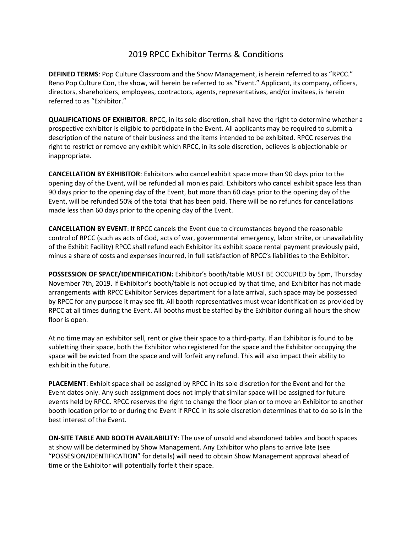## 2019 RPCC Exhibitor Terms & Conditions

**DEFINED TERMS**: Pop Culture Classroom and the Show Management, is herein referred to as "RPCC." Reno Pop Culture Con, the show, will herein be referred to as "Event." Applicant, its company, officers, directors, shareholders, employees, contractors, agents, representatives, and/or invitees, is herein referred to as "Exhibitor."

**QUALIFICATIONS OF EXHIBITOR**: RPCC, in its sole discretion, shall have the right to determine whether a prospective exhibitor is eligible to participate in the Event. All applicants may be required to submit a description of the nature of their business and the items intended to be exhibited. RPCC reserves the right to restrict or remove any exhibit which RPCC, in its sole discretion, believes is objectionable or inappropriate.

**CANCELLATION BY EXHIBITOR**: Exhibitors who cancel exhibit space more than 90 days prior to the opening day of the Event, will be refunded all monies paid. Exhibitors who cancel exhibit space less than 90 days prior to the opening day of the Event, but more than 60 days prior to the opening day of the Event, will be refunded 50% of the total that has been paid. There will be no refunds for cancellations made less than 60 days prior to the opening day of the Event.

**CANCELLATION BY EVENT**: If RPCC cancels the Event due to circumstances beyond the reasonable control of RPCC (such as acts of God, acts of war, governmental emergency, labor strike, or unavailability of the Exhibit Facility) RPCC shall refund each Exhibitor its exhibit space rental payment previously paid, minus a share of costs and expenses incurred, in full satisfaction of RPCC's liabilities to the Exhibitor.

**POSSESSION OF SPACE/IDENTIFICATION:** Exhibitor's booth/table MUST BE OCCUPIED by 5pm, Thursday November 7th, 2019. If Exhibitor's booth/table is not occupied by that time, and Exhibitor has not made arrangements with RPCC Exhibitor Services department for a late arrival, such space may be possessed by RPCC for any purpose it may see fit. All booth representatives must wear identification as provided by RPCC at all times during the Event. All booths must be staffed by the Exhibitor during all hours the show floor is open.

At no time may an exhibitor sell, rent or give their space to a third-party. If an Exhibitor is found to be subletting their space, both the Exhibitor who registered for the space and the Exhibitor occupying the space will be evicted from the space and will forfeit any refund. This will also impact their ability to exhibit in the future.

**PLACEMENT**: Exhibit space shall be assigned by RPCC in its sole discretion for the Event and for the Event dates only. Any such assignment does not imply that similar space will be assigned for future events held by RPCC. RPCC reserves the right to change the floor plan or to move an Exhibitor to another booth location prior to or during the Event if RPCC in its sole discretion determines that to do so is in the best interest of the Event.

**ON-SITE TABLE AND BOOTH AVAILABILITY**: The use of unsold and abandoned tables and booth spaces at show will be determined by Show Management. Any Exhibitor who plans to arrive late (see "POSSESION/IDENTIFICATION" for details) will need to obtain Show Management approval ahead of time or the Exhibitor will potentially forfeit their space.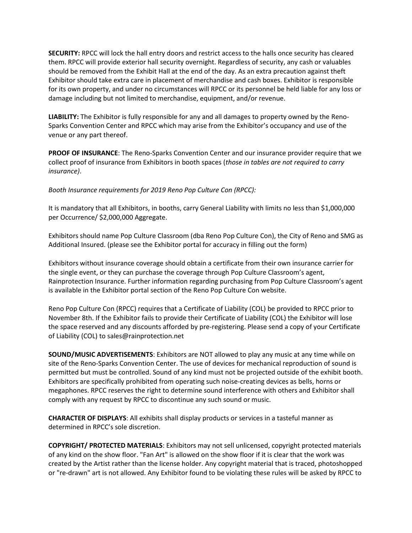**SECURITY:** RPCC will lock the hall entry doors and restrict access to the halls once security has cleared them. RPCC will provide exterior hall security overnight. Regardless of security, any cash or valuables should be removed from the Exhibit Hall at the end of the day. As an extra precaution against theft Exhibitor should take extra care in placement of merchandise and cash boxes. Exhibitor is responsible for its own property, and under no circumstances will RPCC or its personnel be held liable for any loss or damage including but not limited to merchandise, equipment, and/or revenue.

**LIABILITY:** The Exhibitor is fully responsible for any and all damages to property owned by the Reno-Sparks Convention Center and RPCC which may arise from the Exhibitor's occupancy and use of the venue or any part thereof.

**PROOF OF INSURANCE**: The Reno-Sparks Convention Center and our insurance provider require that we collect proof of insurance from Exhibitors in booth spaces (*those in tables are not required to carry insurance)*.

*Booth Insurance requirements for 2019 Reno Pop Culture Con (RPCC):* 

It is mandatory that all Exhibitors, in booths, carry General Liability with limits no less than \$1,000,000 per Occurrence/ \$2,000,000 Aggregate.

Exhibitors should name Pop Culture Classroom (dba Reno Pop Culture Con), the City of Reno and SMG as Additional Insured. (please see the Exhibitor portal for accuracy in filling out the form)

Exhibitors without insurance coverage should obtain a certificate from their own insurance carrier for the single event, or they can purchase the coverage through Pop Culture Classroom's agent, Rainprotection Insurance. Further information regarding purchasing from Pop Culture Classroom's agent is available in the Exhibitor portal section of the Reno Pop Culture Con website.

Reno Pop Culture Con (RPCC) requires that a Certificate of Liability (COL) be provided to RPCC prior to November 8th. If the Exhibitor fails to provide their Certificate of Liability (COL) the Exhibitor will lose the space reserved and any discounts afforded by pre-registering. Please send a copy of your Certificate of Liability (COL) to sales@rainprotection.net

**SOUND/MUSIC ADVERTISEMENTS**: Exhibitors are NOT allowed to play any music at any time while on site of the Reno-Sparks Convention Center. The use of devices for mechanical reproduction of sound is permitted but must be controlled. Sound of any kind must not be projected outside of the exhibit booth. Exhibitors are specifically prohibited from operating such noise-creating devices as bells, horns or megaphones. RPCC reserves the right to determine sound interference with others and Exhibitor shall comply with any request by RPCC to discontinue any such sound or music.

**CHARACTER OF DISPLAYS**: All exhibits shall display products or services in a tasteful manner as determined in RPCC's sole discretion.

**COPYRIGHT/ PROTECTED MATERIALS**: Exhibitors may not sell unlicensed, copyright protected materials of any kind on the show floor. "Fan Art" is allowed on the show floor if it is clear that the work was created by the Artist rather than the license holder. Any copyright material that is traced, photoshopped or "re-drawn" art is not allowed. Any Exhibitor found to be violating these rules will be asked by RPCC to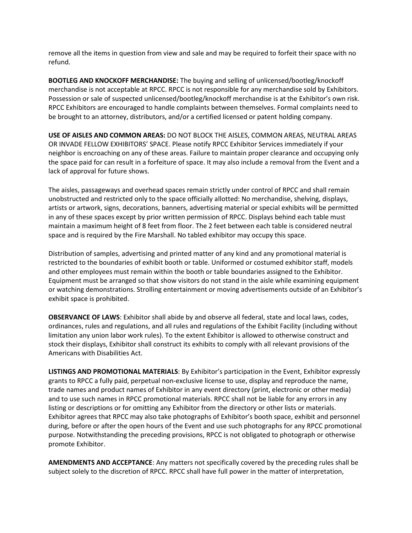remove all the items in question from view and sale and may be required to forfeit their space with no refund.

**BOOTLEG AND KNOCKOFF MERCHANDISE:** The buying and selling of unlicensed/bootleg/knockoff merchandise is not acceptable at RPCC. RPCC is not responsible for any merchandise sold by Exhibitors. Possession or sale of suspected unlicensed/bootleg/knockoff merchandise is at the Exhibitor's own risk. RPCC Exhibitors are encouraged to handle complaints between themselves. Formal complaints need to be brought to an attorney, distributors, and/or a certified licensed or patent holding company.

**USE OF AISLES AND COMMON AREAS:** DO NOT BLOCK THE AISLES, COMMON AREAS, NEUTRAL AREAS OR INVADE FELLOW EXHIBITORS' SPACE. Please notify RPCC Exhibitor Services immediately if your neighbor is encroaching on any of these areas. Failure to maintain proper clearance and occupying only the space paid for can result in a forfeiture of space. It may also include a removal from the Event and a lack of approval for future shows.

The aisles, passageways and overhead spaces remain strictly under control of RPCC and shall remain unobstructed and restricted only to the space officially allotted: No merchandise, shelving, displays, artists or artwork, signs, decorations, banners, advertising material or special exhibits will be permitted in any of these spaces except by prior written permission of RPCC. Displays behind each table must maintain a maximum height of 8 feet from floor. The 2 feet between each table is considered neutral space and is required by the Fire Marshall. No tabled exhibitor may occupy this space.

Distribution of samples, advertising and printed matter of any kind and any promotional material is restricted to the boundaries of exhibit booth or table. Uniformed or costumed exhibitor staff, models and other employees must remain within the booth or table boundaries assigned to the Exhibitor. Equipment must be arranged so that show visitors do not stand in the aisle while examining equipment or watching demonstrations. Strolling entertainment or moving advertisements outside of an Exhibitor's exhibit space is prohibited.

**OBSERVANCE OF LAWS**: Exhibitor shall abide by and observe all federal, state and local laws, codes, ordinances, rules and regulations, and all rules and regulations of the Exhibit Facility (including without limitation any union labor work rules). To the extent Exhibitor is allowed to otherwise construct and stock their displays, Exhibitor shall construct its exhibits to comply with all relevant provisions of the Americans with Disabilities Act.

**LISTINGS AND PROMOTIONAL MATERIALS**: By Exhibitor's participation in the Event, Exhibitor expressly grants to RPCC a fully paid, perpetual non-exclusive license to use, display and reproduce the name, trade names and product names of Exhibitor in any event directory (print, electronic or other media) and to use such names in RPCC promotional materials. RPCC shall not be liable for any errors in any listing or descriptions or for omitting any Exhibitor from the directory or other lists or materials. Exhibitor agrees that RPCC may also take photographs of Exhibitor's booth space, exhibit and personnel during, before or after the open hours of the Event and use such photographs for any RPCC promotional purpose. Notwithstanding the preceding provisions, RPCC is not obligated to photograph or otherwise promote Exhibitor.

**AMENDMENTS AND ACCEPTANCE**: Any matters not specifically covered by the preceding rules shall be subject solely to the discretion of RPCC. RPCC shall have full power in the matter of interpretation,